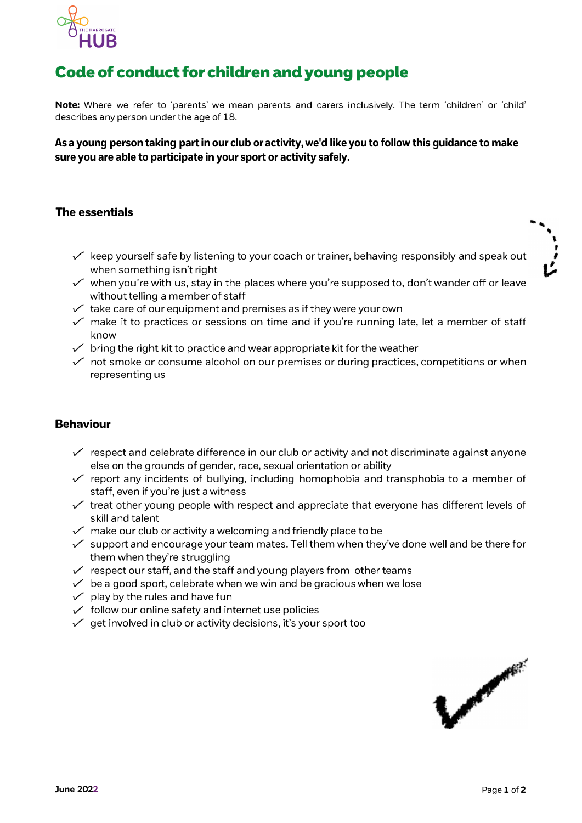

# Code of conduct for children and young people

**Note:** Where we refer to 'parents' we mean parents and carers inclusively. The term 'children' or 'child' describes any person under the age of 18.

### **As a young person taking partin our club or activity, we'd like you to follow this guidance to make sure you are able to participate in your sport or activity safely.**

### **The essentials**

- $\checkmark$  keep yourself safe by listening to your coach or trainer, behaving responsibly and speak out when something isn't right
- $\checkmark$  when you're with us, stay in the places where you're supposed to, don't wander off or leave without telling a member of staff
- $\checkmark$  take care of our equipment and premises as if they were your own
- $\checkmark$  make it to practices or sessions on time and if you're running late, let a member of staff know
- $\checkmark$  bring the right kit to practice and wear appropriate kit for the weather
- $\checkmark$  not smoke or consume alcohol on our premises or during practices, competitions or when representing us

#### **Behaviour**

- $\checkmark$  respect and celebrate difference in our club or activity and not discriminate against anyone else on the grounds of gender, race, sexual orientation or ability
- $\checkmark$  report any incidents of bullying, including homophobia and transphobia to a member of staff, even if you're just a witness
- $\checkmark$  treat other young people with respect and appreciate that everyone has different levels of skill and talent
- $\checkmark$  make our club or activity a welcoming and friendly place to be
- $\checkmark$  support and encourage your team mates. Tell them when they've done well and be there for them when they're struggling
- $\checkmark$  respect our staff, and the staff and young players from other teams
- $\checkmark$  be a good sport, celebrate when we win and be gracious when we lose
- $\checkmark$  play by the rules and have fun
- $\checkmark$  follow our online safety and internet use policies
- $\checkmark$  get involved in club or activity decisions, it's your sport too